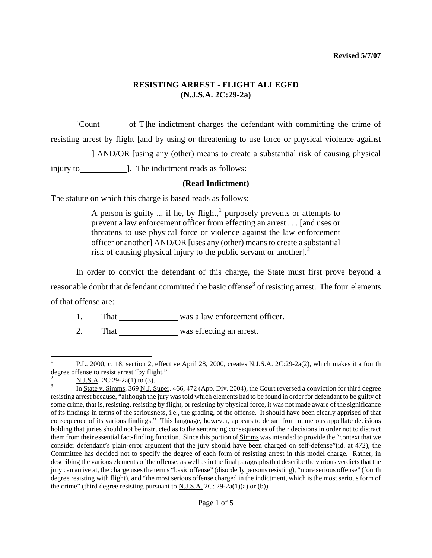[Count of T]he indictment charges the defendant with committing the crime of resisting arrest by flight [and by using or threatening to use force or physical violence against \_\_\_\_\_\_\_\_\_ ] AND/OR [using any (other) means to create a substantial risk of causing physical injury to **1.** The indictment reads as follows:

## **(Read Indictment)**

The statute on which this charge is based reads as follows:

A person is guilty ... if he, by flight,<sup>[1](#page-2-0)</sup> purposely prevents or attempts to prevent a law enforcement officer from effecting an arrest . . . [and uses or threatens to use physical force or violence against the law enforcement officer or another] AND/OR [uses any (other) means to create a substantial risk of causing physical injury to the public servant or another]. $<sup>2</sup>$  $<sup>2</sup>$  $<sup>2</sup>$ </sup>

In order to convict the defendant of this charge, the State must first prove beyond a reasonable doubt that defendant committed the basic offense<sup>[3](#page-0-1)</sup> of resisting arrest. The four elements of that offense are:

1. That was a law enforcement officer.

2. That was effecting an arrest.

 $\overline{\phantom{a}}$ 1 P.L. 2000, c. 18, section 2, effective April 28, 2000, creates N.J.S.A. 2C:29-2a(2), which makes it a fourth degree offense to resist arrest "by flight."

<span id="page-0-0"></span><sup>2</sup>  $\frac{2}{3}$  N.J.S.A. 2C:29-2a(1) to (3).

<span id="page-0-2"></span><span id="page-0-1"></span>In State v. Simms, 369 N.J. Super. 466, 472 (App. Div. 2004), the Court reversed a conviction for third degree resisting arrest because, "although the jury was told which elements had to be found in order for defendant to be guilty of some crime, that is, resisting, resisting by flight, or resisting by physical force, it was not made aware of the significance of its findings in terms of the seriousness, i.e., the grading, of the offense. It should have been clearly apprised of that consequence of its various findings." This language, however, appears to depart from numerous appellate decisions holding that juries should not be instructed as to the sentencing consequences of their decisions in order not to distract them from their essential fact-finding function. Since this portion of Simms was intended to provide the "context that we consider defendant's plain-error argument that the jury should have been charged on self-defense"(id. at 472), the Committee has decided not to specify the degree of each form of resisting arrest in this model charge. Rather, in describing the various elements of the offense, as well as in the final paragraphs that describe the various verdicts that the jury can arrive at, the charge uses the terms "basic offense" (disorderly persons resisting), "more serious offense" (fourth degree resisting with flight), and "the most serious offense charged in the indictment, which is the most serious form of the crime" (third degree resisting pursuant to N.J.S.A. 2C:  $29-2a(1)(a)$  or (b)).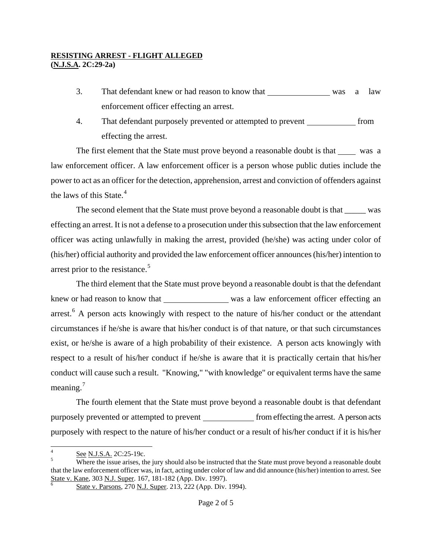- 3. That defendant knew or had reason to know that was a law enforcement officer effecting an arrest.
- 4. That defendant purposely prevented or attempted to prevent <u>said</u> from effecting the arrest.

The first element that the State must prove beyond a reasonable doubt is that was a law enforcement officer. A law enforcement officer is a person whose public duties include the power to act as an officer for the detection, apprehension, arrest and conviction of offenders against the laws of this State.<sup>[4](#page-0-2)</sup>

The second element that the State must prove beyond a reasonable doubt is that was effecting an arrest. It is not a defense to a prosecution under this subsection that the law enforcement officer was acting unlawfully in making the arrest, provided (he/she) was acting under color of (his/her) official authority and provided the law enforcement officer announces (his/her) intention to arrest prior to the resistance.<sup>[5](#page-1-0)</sup>

The third element that the State must prove beyond a reasonable doubt is that the defendant knew or had reason to know that was a law enforcement officer effecting an arrest.<sup>[6](#page-1-1)</sup> A person acts knowingly with respect to the nature of his/her conduct or the attendant circumstances if he/she is aware that his/her conduct is of that nature, or that such circumstances exist, or he/she is aware of a high probability of their existence. A person acts knowingly with respect to a result of his/her conduct if he/she is aware that it is practically certain that his/her conduct will cause such a result. "Knowing," "with knowledge" or equivalent terms have the same meaning. $<sup>7</sup>$  $<sup>7</sup>$  $<sup>7</sup>$ </sup>

The fourth element that the State must prove beyond a reasonable doubt is that defendant purposely prevented or attempted to prevent <u>from effecting</u> the arrest. A person acts purposely with respect to the nature of his/her conduct or a result of his/her conduct if it is his/her

 $\frac{1}{4}$ See N.J.S.A. 2C:25-19c.

<span id="page-1-3"></span><span id="page-1-2"></span><span id="page-1-1"></span><span id="page-1-0"></span>Where the issue arises, the jury should also be instructed that the State must prove beyond a reasonable doubt that the law enforcement officer was, in fact, acting under color of law and did announce (his/her) intention to arrest. See State v. Kane, 303 N.J. Super. 167, 181-182 (App. Div. 1997).

State v. Parsons, 270 N.J. Super. 213, 222 (App. Div. 1994).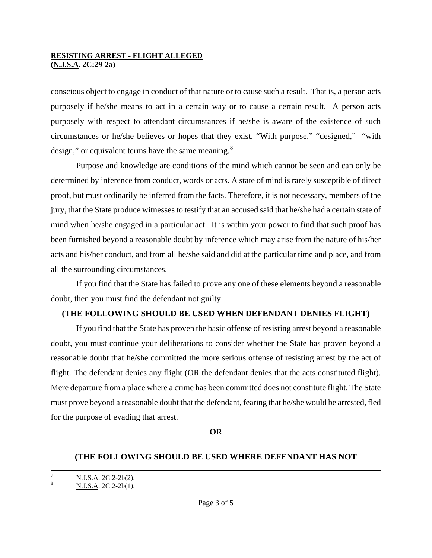conscious object to engage in conduct of that nature or to cause such a result. That is, a person acts purposely if he/she means to act in a certain way or to cause a certain result. A person acts purposely with respect to attendant circumstances if he/she is aware of the existence of such circumstances or he/she believes or hopes that they exist. "With purpose," "designed," "with design," or equivalent terms have the same meaning.<sup>[8](#page-1-3)</sup>

Purpose and knowledge are conditions of the mind which cannot be seen and can only be determined by inference from conduct, words or acts. A state of mind is rarely susceptible of direct proof, but must ordinarily be inferred from the facts. Therefore, it is not necessary, members of the jury, that the State produce witnesses to testify that an accused said that he/she had a certain state of mind when he/she engaged in a particular act. It is within your power to find that such proof has been furnished beyond a reasonable doubt by inference which may arise from the nature of his/her acts and his/her conduct, and from all he/she said and did at the particular time and place, and from all the surrounding circumstances.

If you find that the State has failed to prove any one of these elements beyond a reasonable doubt, then you must find the defendant not guilty.

## **(THE FOLLOWING SHOULD BE USED WHEN DEFENDANT DENIES FLIGHT)**

<span id="page-2-0"></span>If you find that the State has proven the basic offense of resisting arrest beyond a reasonable doubt, you must continue your deliberations to consider whether the State has proven beyond a reasonable doubt that he/she committed the more serious offense of resisting arrest by the act of flight. The defendant denies any flight (OR the defendant denies that the acts constituted flight). Mere departure from a place where a crime has been committed does not constitute flight. The State must prove beyond a reasonable doubt that the defendant, fearing that he/she would be arrested, fled for the purpose of evading that arrest.

#### **OR**

## **(THE FOLLOWING SHOULD BE USED WHERE DEFENDANT HAS NOT**

<span id="page-2-1"></span><sup>-&</sup>lt;br>7  $\frac{N.I.S.A.}{N.I.S.A.}$  2C:2-2b(2).

N.J.S.A. 2C:2-2b(1).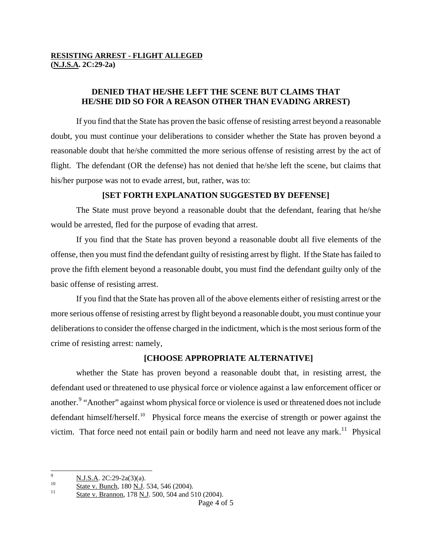# **DENIED THAT HE/SHE LEFT THE SCENE BUT CLAIMS THAT HE/SHE DID SO FOR A REASON OTHER THAN EVADING ARREST)**

If you find that the State has proven the basic offense of resisting arrest beyond a reasonable doubt, you must continue your deliberations to consider whether the State has proven beyond a reasonable doubt that he/she committed the more serious offense of resisting arrest by the act of flight. The defendant (OR the defense) has not denied that he/she left the scene, but claims that his/her purpose was not to evade arrest, but, rather, was to:

## **[SET FORTH EXPLANATION SUGGESTED BY DEFENSE]**

The State must prove beyond a reasonable doubt that the defendant, fearing that he/she would be arrested, fled for the purpose of evading that arrest.

If you find that the State has proven beyond a reasonable doubt all five elements of the offense, then you must find the defendant guilty of resisting arrest by flight. If the State has failed to prove the fifth element beyond a reasonable doubt, you must find the defendant guilty only of the basic offense of resisting arrest.

If you find that the State has proven all of the above elements either of resisting arrest or the more serious offense of resisting arrest by flight beyond a reasonable doubt, you must continue your deliberations to consider the offense charged in the indictment, which is the most serious form of the crime of resisting arrest: namely,

# **[CHOOSE APPROPRIATE ALTERNATIVE]**

whether the State has proven beyond a reasonable doubt that, in resisting arrest, the defendant used or threatened to use physical force or violence against a law enforcement officer or another.<sup>[9](#page-2-1)</sup> "Another" against whom physical force or violence is used or threatened does not include defendant himself/herself.<sup>[10](#page-3-0)</sup> Physical force means the exercise of strength or power against the victim. That force need not entail pain or bodily harm and need not leave any mark.<sup>[11](#page-3-1)</sup> Physical

<span id="page-3-2"></span><sup>-&</sup>lt;br>9

<span id="page-3-0"></span> $\frac{\text{N.J.S.A. 2C:29-2a(3)(a)}}{\text{State v. Bunch, 180 N.J. 534, 546 (2004)}}$ .<br>
11 State v. Brannon, 178 N.J. 500, 504 and 510 (2004).

<span id="page-3-1"></span>